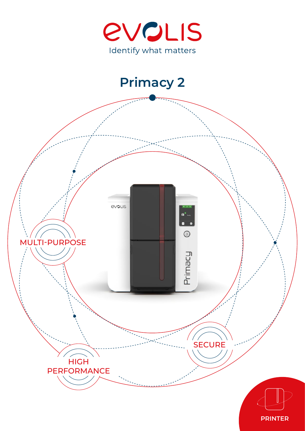



## **PRINTER**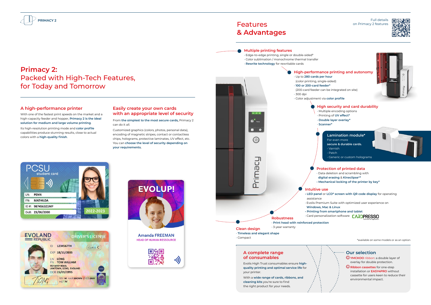# Features **& Advantages**

## **A complete range of consumables**

Evolis High Trust consumables ensure **highquality printing and optimal service life** for your printer.

With a **wide range of cards, ribbons, and cleaning kits** you're sure to find the right product for your needs.

\*available on some models or as an option

### Full details on Primacy 2 features





**• LED panel** or **LCD\* screen with QR code display** for operating

## **Our selection**

**YMCKOO** ribbon: a double layer of overlay for double protection. **Ribbon cassettes** for one-step

installation or **EASY4PRO** without cassette for users keen to reduce their environmental impact.



# **Primacy 2:** Packed with High-Tech Features, for Today and Tomorrow

## **A high-performance printer**

With one of the fastest print speeds on the market and a high-capacity feeder and hopper, **Primacy 2 is the ideal solution for medium and large volume printing**.

Its high-resolution printing mode and **color profile** capabilities produce stunning results, close to actual colors with a **high-quality finish**.

## **Easily create your own cards with an appropriate level of security**

From **the simplest to the most secure cards,** Primacy 2 can do it all.

Customized graphics (colors, photos, personal data), encoding of magnetic stripes, contact or contactless chips, holograms, protective laminates, UV effect, etc. You can **choose the level of security depending on your requirements.**









# **PRIMACY 2**